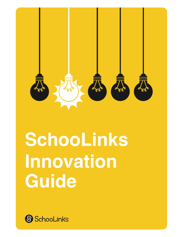

# **SchooLinks Innovation Guide**

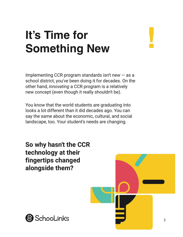### **It's Time for Something New**

Implementing CCR program standards isn't new  $-$  as a school district, you've been doing it for decades. On the other hand, *innovating* a CCR program is a relatively new concept (even though it really shouldn't be).

You know that the world students are graduating into looks a lot different than it did decades ago. You can say the same about the economic, cultural, and social landscape, too. Your student's needs are changing.

**So why hasn't the CCR technology at their fingertips changed alongside them?**



**!**

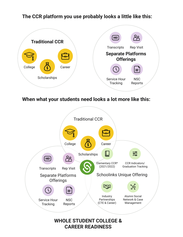#### **The CCR platform you use probably looks a little like this:**



**When what your students need looks a lot more like this:**

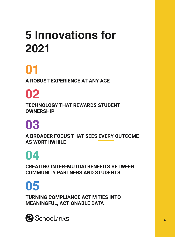### **5 Innovations for 2021**

### **[01](#page-4-0)**

**A ROBUST EXPERIENCE AT ANY AGE**

### **[02](#page-6-0)**

**TECHNOLOGY THAT REWARDS STUDENT OWNERSHIP**

### **[03](#page-8-0)**

**A BROADER FOCUS THAT SEES EVERY OUTCOME AS WORTHWHILE**

### **[04](#page-10-0)**

**CREATING INTER-MUTUALBENEFITS BETWEEN COMMUNITY PARTNERS AND STUDENTS**

## **[05](#page-12-0)**

**TURNING COMPLIANCE ACTIVITIES INTO MEANINGFUL, ACTIONABLE DATA**

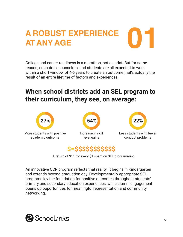### <span id="page-4-0"></span>**A ROBUST EXPERIENCE AT ANY AGE 01**

College and career readiness is a marathon, not a sprint. But for some reason, educators, counselors, and students are all expected to work within a short window of 4-6 years to create an outcome that's actually the result of an entire lifetime of factors and experiences.

#### **When school districts add an SEL program to their curriculum, they see, on average:**





A return of \$11 for every \$1 spent on SEL programming

An innovative CCR program reflects that reality. It begins in Kindergarten and extends beyond graduation day. Developmentally appropriate SEL programs lay the foundation for positive outcomes throughout students' primary and secondary education experiences, while alumni engagement opens up opportunities for meaningful representation and community networking.

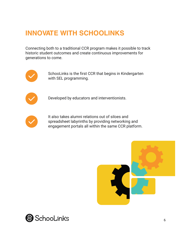Connecting both to a traditional CCR program makes it possible to track historic student outcomes and create continuous improvements for generations to come.



SchooLinks is the first CCR that begins in Kindergarten with SEL programming.



Developed by educators and interventionists.



It also takes alumni relations out of siloes and spreadsheet labyrinths by providing networking and engagement portals all within the same CCR platform.



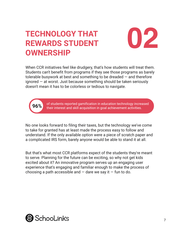#### <span id="page-6-0"></span>**12 TECHNOLOGY THAT COLOREY THAT REWARDS STUDENT OWNERSHIP**



When CCR initiatives feel like drudgery, that's how students will treat them. Students can't benefit from programs if they see those programs as barely tolerable busywork at best and something to be dreaded — and therefore ignored — at worst. Just because something should be taken seriously doesn't mean it has to be colorless or tedious to navigate.



**96%** of students reported gamification in education technology increased their interest and skill acquisition in goal achievement activities.

No one looks forward to filing their taxes, but the technology we've come to take for granted has at least made the process easy to follow and understand. If the only available option were a piece of scratch paper and a complicated IRS form, barely anyone would be able to stand it at all.

But that's what most CCR platforms expect of the students they're meant to serve. Planning for the future can be exciting, so why not get kids excited about it? An innovative program serves up an engaging user experience that's engaging and familiar enough to make the process of choosing a path accessible and  $-$  dare we say it  $-$  fun to do.

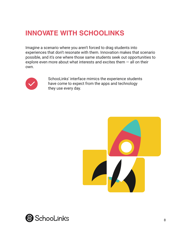Imagine a scenario where you aren't forced to drag students into experiences that don't resonate with them. Innovation makes that scenario possible, and it's one where those same students seek out opportunities to explore even more about what interests and excites them  $-$  all on their own.



SchooLinks' interface mimics the experience students have come to expect from the apps and technology they use every day.



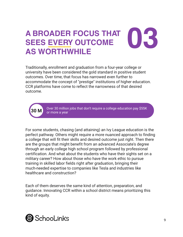### <span id="page-8-0"></span>**03 A BROADER FOCUS THAT SEES EVERY OUTCOME AS WORTHWHILE**

Traditionally, enrollment and graduation from a four-year college or university have been considered the gold standard in positive student outcomes. Over time, that focus has narrowed even further to accommodate the concept of "prestige" institutions of higher education. CCR platforms have come to reflect the narrowness of that desired outcome.



Over 30 million jobs that don't require a college education pay \$55K or more a year

For some students, chasing (and attaining) an Ivy League education is the perfect pathway. Others might require a more nuanced approach to finding a college that will fit their skills and desired outcome just right. Then there are the groups that might benefit from an advanced Associate's degree through an early college high school program followed by professional certification. And what about the students who have their sights set on a military career? How about those who have the work ethic to pursue training in skilled labor fields right after graduation, bringing their much-needed expertise to companies like Tesla and industries like healthcare and construction?

Each of them deserves the same kind of attention, preparation, and guidance. Innovating CCR within a school district means prioritizing this kind of equity.

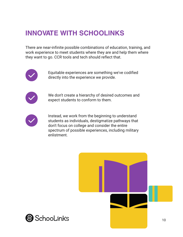There are near-infinite possible combinations of education, training, and work experience to meet students where they are and help them where they want to go. CCR tools and tech should reflect that.



Equitable experiences are something we've codified directly into the experience we provide.



We don't create a hierarchy of desired outcomes and expect students to conform to them.



Instead, we work from the beginning to understand students as individuals, destigmatize pathways that don't focus on college and consider the entire spectrum of possible experiences, including military enlistment.



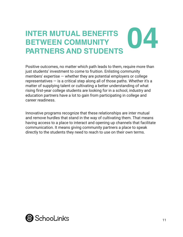# <span id="page-10-0"></span>**O44 INTER MUTUAL BENEFITS<br>
BETWEEN COMMUNITY<br>
PARTNERS AND STUDENTS BETWEEN COMMUNITY**

Positive outcomes, no matter which path leads to them, require more than just students' investment to come to fruition. Enlisting community members' expertise  $-$  whether they are potential employers or college representatives  $-$  is a critical step along all of those paths. Whether it's a matter of supplying talent or cultivating a better understanding of what rising first-year college students are looking for in a school, industry and education partners have a lot to gain from participating in college and career readiness.

Innovative programs recognize that these relationships are inter mutual and remove hurdles that stand in the way of cultivating them. That means having access to a place to interact and opening up channels that facilitate communication. It means giving community partners a place to speak directly to the students they need to reach to use on their own terms.

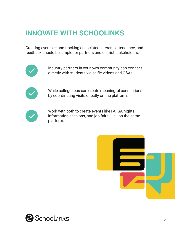Creating events — and tracking associated interest, attendance, and feedback should be simple for partners and district stakeholders.



Industry partners in your own community can connect directly with students via selfie videos and Q&As.



While college reps can create meaningful connections by coordinating visits directly on the platform.



Work with both to create events like FAFSA nights, information sessions, and job fairs  $-$  all on the same platform.



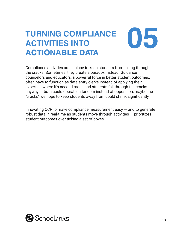### <span id="page-12-0"></span>**TURNING COMPLIANCE 105 ACTIVITIES INTO ACTIONABLE DATA**

Compliance activities are in place to keep students from falling through the cracks. Sometimes, they create a paradox instead. Guidance counselors and educators, a powerful force in better student outcomes, often have to function as data entry clerks instead of applying their expertise where it's needed most, and students fall through the cracks anyway. If both could operate in tandem instead of opposition, maybe the "cracks" we hope to keep students away from could shrink significantly.

Innovating CCR to make compliance measurement easy  $-$  and to generate robust data in real-time as students move through activities — prioritizes student outcomes over ticking a set of boxes.

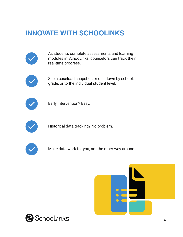

As students complete assessments and learning modules in SchooLinks, counselors can track their real-time progress.



See a caseload snapshot, or drill down by school, grade, or to the individual student level.



Early intervention? Easy.



Historical data tracking? No problem.



Make data work for you, not the other way around.